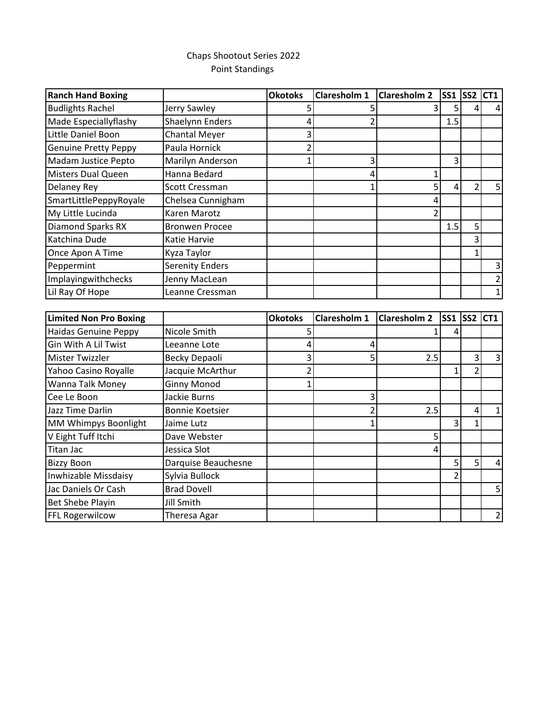## Chaps Shootout Series 2022 Point Standings

| <b>Ranch Hand Boxing</b>      |                        | <b>Okotoks</b> | Claresholm 1        | <b>Claresholm 2</b> | <b>SS1 SS2</b> |                          | CT <sub>1</sub> |
|-------------------------------|------------------------|----------------|---------------------|---------------------|----------------|--------------------------|-----------------|
| <b>Budlights Rachel</b>       | Jerry Sawley           | 5              | 5                   | 3                   | 5              | 4                        |                 |
| Made Especiallyflashy         | Shaelynn Enders        | 4              | 2                   |                     | 1.5            |                          |                 |
| Little Daniel Boon            | <b>Chantal Meyer</b>   | 3              |                     |                     |                |                          |                 |
| <b>Genuine Pretty Peppy</b>   | Paula Hornick          | $\overline{2}$ |                     |                     |                |                          |                 |
| Madam Justice Pepto           | Marilyn Anderson       | 1              | 3                   |                     | $\overline{3}$ |                          |                 |
| <b>Misters Dual Queen</b>     | Hanna Bedard           |                | 4                   | 1                   |                |                          |                 |
| Delaney Rey                   | Scott Cressman         |                | 1                   | 5                   | 4              | $\overline{2}$           | 5               |
| SmartLittlePeppyRoyale        | Chelsea Cunnigham      |                |                     | 4                   |                |                          |                 |
| My Little Lucinda             | Karen Marotz           |                |                     | $\overline{2}$      |                |                          |                 |
| <b>Diamond Sparks RX</b>      | <b>Bronwen Procee</b>  |                |                     |                     | 1.5            | 5                        |                 |
| Katchina Dude                 | Katie Harvie           |                |                     |                     |                | 3                        |                 |
| Once Apon A Time              | Kyza Taylor            |                |                     |                     |                | $\mathbf{1}$             |                 |
| Peppermint                    | <b>Serenity Enders</b> |                |                     |                     |                |                          | 3               |
| Implayingwithchecks           | Jenny MacLean          |                |                     |                     |                |                          |                 |
| Lil Ray Of Hope               | Leanne Cressman        |                |                     |                     |                |                          | $\mathbf{1}$    |
|                               |                        |                |                     |                     |                |                          |                 |
|                               |                        |                |                     |                     |                |                          |                 |
| <b>Limited Non Pro Boxing</b> |                        | <b>Okotoks</b> | <b>Claresholm 1</b> | <b>Claresholm 2</b> | <b>SS1</b>     | SS2                      | CT <sub>1</sub> |
| <b>Haidas Genuine Peppy</b>   | Nicole Smith           | 5              |                     |                     | 4              |                          |                 |
| <b>Gin With A Lil Twist</b>   | Leeanne Lote           | 4              | 4                   |                     |                |                          |                 |
| <b>Mister Twizzler</b>        | Becky Depaoli          | 3              | 5                   | 2.5                 |                | 3                        | 3               |
| Yahoo Casino Royalle          | Jacquie McArthur       | 2              |                     |                     | 1              | $\overline{\mathcal{L}}$ |                 |
| Wanna Talk Money              | <b>Ginny Monod</b>     |                |                     |                     |                |                          |                 |
| Cee Le Boon                   | Jackie Burns           |                | 3                   |                     |                |                          |                 |
| Jazz Time Darlin              | <b>Bonnie Koetsier</b> |                | $\overline{2}$      | 2.5                 |                | 4                        | $\mathbf{1}$    |
| MM Whimpys Boonlight          | Jaime Lutz             |                | $\mathbf{1}$        |                     | 3              | $\mathbf{1}$             |                 |
| V Eight Tuff Itchi            | Dave Webster           |                |                     | 5                   |                |                          |                 |
| <b>Titan Jac</b>              | Jessica Slot           |                |                     | 4                   |                |                          |                 |
| <b>Bizzy Boon</b>             | Darquise Beauchesne    |                |                     |                     | 5              | 5                        | 4               |
| Inwhizable Missdaisy          | Sylvia Bullock         |                |                     |                     | $\overline{2}$ |                          |                 |
| Jac Daniels Or Cash           | <b>Brad Dovell</b>     |                |                     |                     |                |                          | 5               |
| Bet Shebe Playin              | <b>Jill Smith</b>      |                |                     |                     |                |                          |                 |